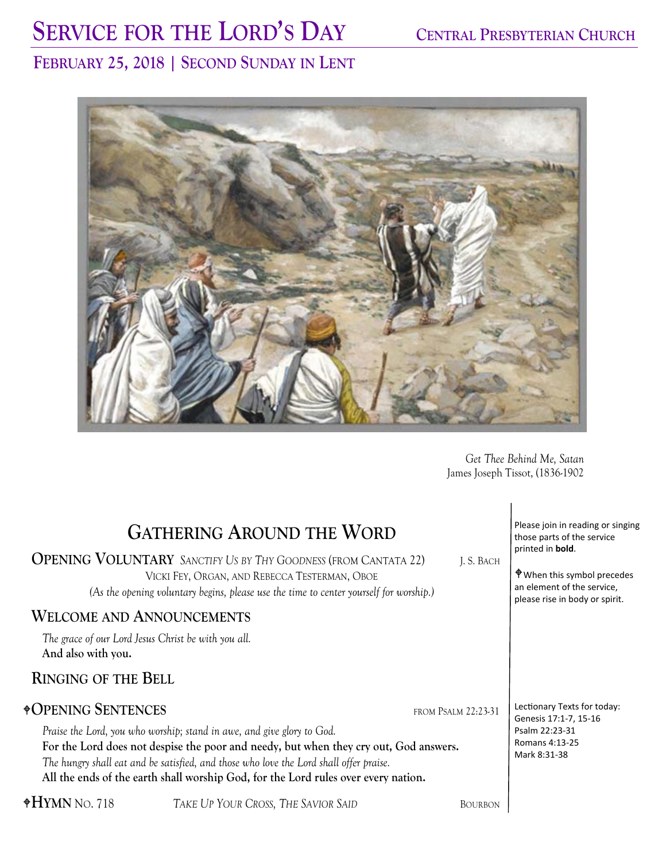# SERVICE FOR THE LORD'S DAY CENTRAL PRESBYTERIAN CHURCH

# **FEBRUARY 25, 2018 | SECOND SUNDAY IN LENT**



*Get Thee Behind Me, Satan*  James Joseph Tissot, (1836-1902

| <b>GATHERING AROUND THE WORD</b><br><b>OPENING VOLUNTARY</b> SANCTIFY US BY THY GOODNESS (FROM CANTATA 22)<br>J.S. BACH<br>VICKI FEY, ORGAN, AND REBECCA TESTERMAN, OBOE<br>(As the opening voluntary begins, please use the time to center yourself for worship.)<br><b>WELCOME AND ANNOUNCEMENTS</b>                                                                                                                   | Please join in reading or singing<br>those parts of the service<br>printed in bold.<br><b>P</b> When this symbol precedes<br>an element of the service,<br>please rise in body or spirit. |
|--------------------------------------------------------------------------------------------------------------------------------------------------------------------------------------------------------------------------------------------------------------------------------------------------------------------------------------------------------------------------------------------------------------------------|-------------------------------------------------------------------------------------------------------------------------------------------------------------------------------------------|
| The grace of our Lord Jesus Christ be with you all.<br>And also with you.<br><b>RINGING OF THE BELL</b>                                                                                                                                                                                                                                                                                                                  |                                                                                                                                                                                           |
| <b><math>\triangle</math>OPENING SENTENCES</b><br>FROM PSALM 22:23-31<br>Praise the Lord, you who worship; stand in awe, and give glory to God.<br>For the Lord does not despise the poor and needy, but when they cry out, God answers.<br>The hungry shall eat and be satisfied, and those who love the Lord shall offer praise.<br>All the ends of the earth shall worship God, for the Lord rules over every nation. | Lectionary Texts for today:<br>Genesis 17:1-7, 15-16<br>Psalm 22:23-31<br>Romans 4:13-25<br>Mark 8:31-38                                                                                  |
| $\rm{*HYM}$ No. 718<br>TAKE UP YOUR CROSS, THE SAVIOR SAID<br>BOURBON                                                                                                                                                                                                                                                                                                                                                    |                                                                                                                                                                                           |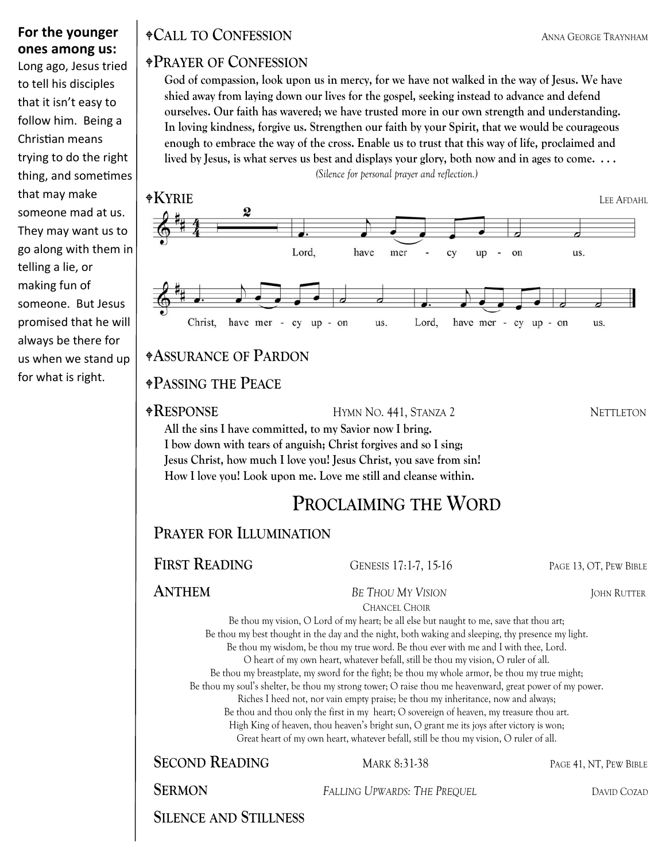#### **For the younger ones among us:**

Long ago, Jesus tried to tell his disciples that it isn't easy to follow him. Being a Christian means trying to do the right thing, and sometimes that may make someone mad at us. They may want us to go along with them in telling a lie, or making fun of someone. But Jesus promised that he will always be there for us when we stand up for what is right.

### **CALL TO CONFESSION** ANNA GEORGE TRAYNHAM

#### **PRAYER OF CONFESSION**

**God of compassion, look upon us in mercy, for we have not walked in the way of Jesus. We have shied away from laying down our lives for the gospel, seeking instead to advance and defend ourselves. Our faith has wavered; we have trusted more in our own strength and understanding. In loving kindness, forgive us. Strengthen our faith by your Spirit, that we would be courageous enough to embrace the way of the cross. Enable us to trust that this way of life, proclaimed and lived by Jesus, is what serves us best and displays your glory, both now and in ages to come. . . .** 

*(Silence for personal prayer and reflection.)* 



#### **ASSURANCE OF PARDON**

#### **PASSING THE PEACE**

**RESPONSE** HYMN NO. 441, STANZA 2 NETTLETON

**All the sins I have committed, to my Savior now I bring. I bow down with tears of anguish; Christ forgives and so I sing; Jesus Christ, how much I love you! Jesus Christ, you save from sin! How I love you! Look upon me. Love me still and cleanse within.** 

# **PROCLAIMING THE WORD**

**PRAYER FOR ILLUMINATION**

**FIRST READING** GENESIS 17:1-7, 15-16 PAGE 13, OT, PEW BIBLE

**ANTHEM** *BE THOU MY VISION* JOHN RUTTER

CHANCEL CHOIR

Be thou my vision, O Lord of my heart; be all else but naught to me, save that thou art; Be thou my best thought in the day and the night, both waking and sleeping, thy presence my light. Be thou my wisdom, be thou my true word. Be thou ever with me and I with thee, Lord.

O heart of my own heart, whatever befall, still be thou my vision, O ruler of all.

Be thou my breastplate, my sword for the fight; be thou my whole armor, be thou my true might;

Be thou my soul's shelter, be thou my strong tower; O raise thou me heavenward, great power of my power.

Riches I heed not, nor vain empty praise; be thou my inheritance, now and always;

Be thou and thou only the first in my heart; O sovereign of heaven, my treasure thou art.

High King of heaven, thou heaven's bright sun, O grant me its joys after victory is won;

Great heart of my own heart, whatever befall, still be thou my vision, O ruler of all.

**SECOND READING** MARK 8:31-38 PAGE 41, NT, PEW BIBLE

**SERMON** *FALLING UPWARDS: THE PREQUEL* **DAVID COZAD** 

**SILENCE AND STILLNESS**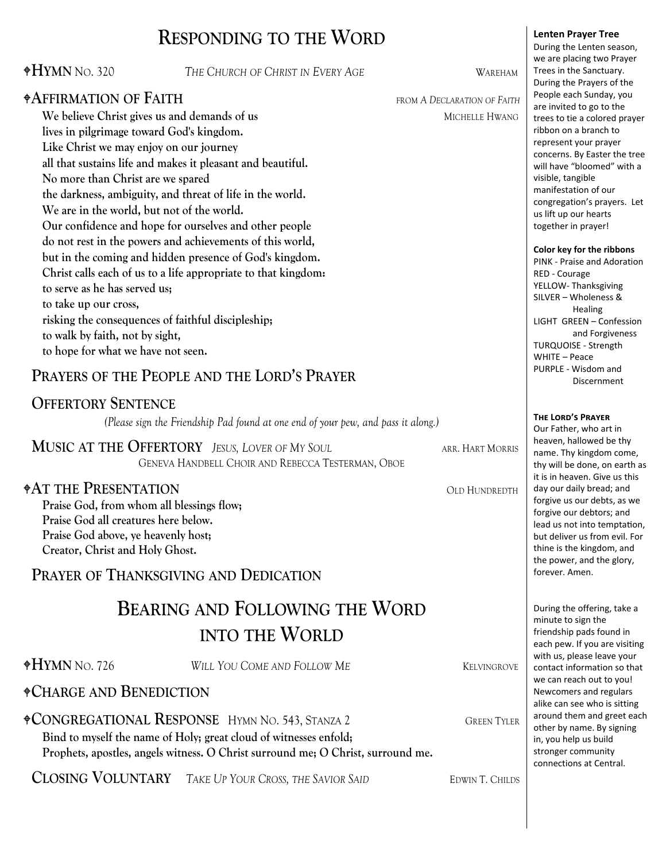# **RESPONDING TO THE WORD**

#### **HYMN** NO. 320 *THE CHURCH OF CHRIST IN EVERY AGE* WAREHAM

#### **AFFIRMATION OF FAITH** FROM A DECLARATION OF FAITH

**We believe Christ gives us and demands of us and the manufacture of the MICHELLE HWANG lives in pilgrimage toward God's kingdom. Like Christ we may enjoy on our journey all that sustains life and makes it pleasant and beautiful. No more than Christ are we spared the darkness, ambiguity, and threat of life in the world. We are in the world, but not of the world. Our confidence and hope for ourselves and other people do not rest in the powers and achievements of this world, but in the coming and hidden presence of God's kingdom. Christ calls each of us to a life appropriate to that kingdom: to serve as he has served us; to take up our cross, risking the consequences of faithful discipleship; to walk by faith, not by sight, to hope for what we have not seen.** 

#### **PRAYERS OF THE PEOPLE AND THE LORD'S PRAYER**

#### **OFFERTORY SENTENCE**

*(Please sign the Friendship Pad found at one end of your pew, and pass it along.)*

**MUSIC AT THE OFFERTORY** *JESUS, LOVER OF MY SOUL* ARR. HART MORRIS GENEVA HANDBELL CHOIR AND REBECCA TESTERMAN, OBOE

#### **AT THE PRESENTATION** OLD HUNDREDTH

**Praise God, from whom all blessings flow; Praise God all creatures here below. Praise God above, ye heavenly host; Creator, Christ and Holy Ghost.** 

#### **PRAYER OF THANKSGIVING AND DEDICATION**

# **BEARING AND FOLLOWING THE WORD INTO THE WORLD**

**HYMN** NO. 726 *WILL YOU COME AND FOLLOW ME* KELVINGROVE

#### **CHARGE AND BENEDICTION**

**CONGREGATIONAL RESPONSE** HYMN NO. 543, STANZA 2 GREEN TYLER **Bind to myself the name of Holy; great cloud of witnesses enfold; Prophets, apostles, angels witness. O Christ surround me; O Christ, surround me.** 

**CLOSING VOLUNTARY** TAKE UP YOUR CROSS, THE SAVIOR SAID EDWIN T. CHILDS

represent your prayer concerns. By Easter the tree will have "bloomed" with a visible, tangible manifestation of our congregation's prayers. Let us lift up our hearts together in prayer! **Color key for the ribbons** PINK ‐ Praise and Adoration RED ‐ Courage YELLOW‐ Thanksgiving

SILVER – Wholeness & Healing LIGHT GREEN – Confession and Forgiveness TURQUOISE ‐ Strength WHITE – Peace PURPLE ‐ Wisdom and Discernment

#### $T$ **HE LORD'S PRAYER**

Our Father, who art in heaven, hallowed be thy name. Thy kingdom come, thy will be done, on earth as it is in heaven. Give us this day our daily bread; and forgive us our debts, as we forgive our debtors; and lead us not into temptation, but deliver us from evil. For thine is the kingdom, and the power, and the glory, forever. Amen.

During the offering, take a minute to sign the friendship pads found in each pew. If you are visiting with us, please leave your contact information so that we can reach out to you! Newcomers and regulars alike can see who is sitting around them and greet each other by name. By signing in, you help us build stronger community connections at Central.

#### **Lenten Prayer Tree** During the Lenten season,

we are placing two Prayer Trees in the Sanctuary. During the Prayers of the People each Sunday, you are invited to go to the trees to tie a colored prayer ribbon on a branch to